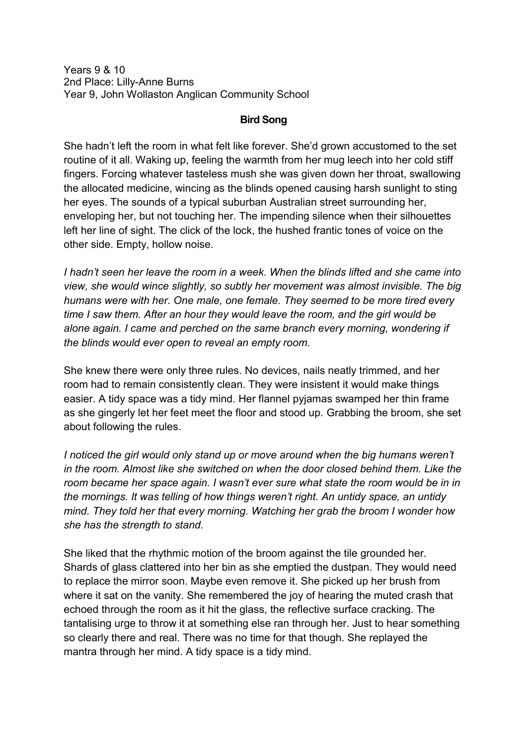Years 9 & 10 2nd Place: Lilly-Anne Burns Year 9, John Wollaston Anglican Community School

## **Bird Song**

She hadn't left the room in what felt like forever. She'd grown accustomed to the set routine of it all. Waking up, feeling the warmth from her mug leech into her cold stiff fingers. Forcing whatever tasteless mush she was given down her throat, swallowing the allocated medicine, wincing as the blinds opened causing harsh sunlight to sting her eyes. The sounds of a typical suburban Australian street surrounding her, enveloping her, but not touching her. The impending silence when their silhouettes left her line of sight. The click of the lock, the hushed frantic tones of voice on the other side. Empty, hollow noise.

*I hadn't seen her leave the room in a week. When the blinds lifted and she came into view, she would wince slightly, so subtly her movement was almost invisible. The big humans were with her. One male, one female. They seemed to be more tired every time I saw them. After an hour they would leave the room, and the girl would be alone again. I came and perched on the same branch every morning, wondering if the blinds would ever open to reveal an empty room.*

She knew there were only three rules. No devices, nails neatly trimmed, and her room had to remain consistently clean. They were insistent it would make things easier. A tidy space was a tidy mind. Her flannel pyjamas swamped her thin frame as she gingerly let her feet meet the floor and stood up. Grabbing the broom, she set about following the rules.

*I noticed the girl would only stand up or move around when the big humans weren't in the room. Almost like she switched on when the door closed behind them. Like the*  room became her space again. I wasn't ever sure what state the room would be in in *the mornings. It was telling of how things weren't right. An untidy space, an untidy mind. They told her that every morning. Watching her grab the broom I wonder how she has the strength to stand.* 

She liked that the rhythmic motion of the broom against the tile grounded her. Shards of glass clattered into her bin as she emptied the dustpan. They would need to replace the mirror soon. Maybe even remove it. She picked up her brush from where it sat on the vanity. She remembered the joy of hearing the muted crash that echoed through the room as it hit the glass, the reflective surface cracking. The tantalising urge to throw it at something else ran through her. Just to hear something so clearly there and real. There was no time for that though. She replayed the mantra through her mind. A tidy space is a tidy mind.